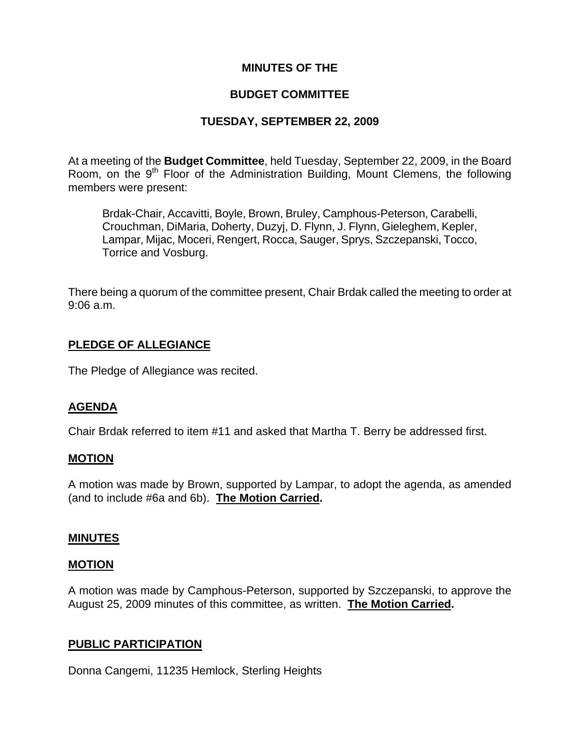## **MINUTES OF THE**

## **BUDGET COMMITTEE**

## **TUESDAY, SEPTEMBER 22, 2009**

At a meeting of the **Budget Committee**, held Tuesday, September 22, 2009, in the Board Room, on the  $9<sup>th</sup>$  Floor of the Administration Building, Mount Clemens, the following members were present:

Brdak-Chair, Accavitti, Boyle, Brown, Bruley, Camphous-Peterson, Carabelli, Crouchman, DiMaria, Doherty, Duzyj, D. Flynn, J. Flynn, Gieleghem, Kepler, Lampar, Mijac, Moceri, Rengert, Rocca, Sauger, Sprys, Szczepanski, Tocco, Torrice and Vosburg.

There being a quorum of the committee present, Chair Brdak called the meeting to order at 9:06 a.m.

## **PLEDGE OF ALLEGIANCE**

The Pledge of Allegiance was recited.

## **AGENDA**

Chair Brdak referred to item #11 and asked that Martha T. Berry be addressed first.

## **MOTION**

A motion was made by Brown, supported by Lampar, to adopt the agenda, as amended (and to include #6a and 6b). **The Motion Carried.** 

## **MINUTES**

### **MOTION**

A motion was made by Camphous-Peterson, supported by Szczepanski, to approve the August 25, 2009 minutes of this committee, as written. **The Motion Carried.** 

## **PUBLIC PARTICIPATION**

Donna Cangemi, 11235 Hemlock, Sterling Heights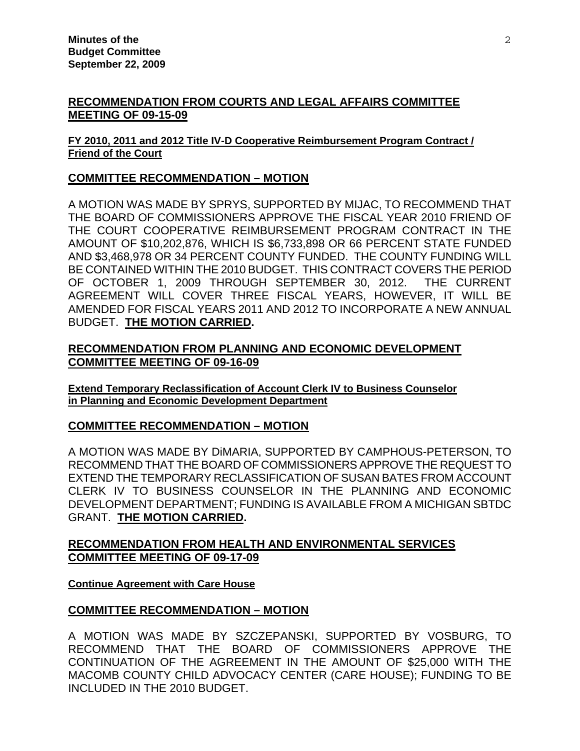## **RECOMMENDATION FROM COURTS AND LEGAL AFFAIRS COMMITTEE MEETING OF 09-15-09**

### **FY 2010, 2011 and 2012 Title IV-D Cooperative Reimbursement Program Contract / Friend of the Court**

## **COMMITTEE RECOMMENDATION – MOTION**

A MOTION WAS MADE BY SPRYS, SUPPORTED BY MIJAC, TO RECOMMEND THAT THE BOARD OF COMMISSIONERS APPROVE THE FISCAL YEAR 2010 FRIEND OF THE COURT COOPERATIVE REIMBURSEMENT PROGRAM CONTRACT IN THE AMOUNT OF \$10,202,876, WHICH IS \$6,733,898 OR 66 PERCENT STATE FUNDED AND \$3,468,978 OR 34 PERCENT COUNTY FUNDED. THE COUNTY FUNDING WILL BE CONTAINED WITHIN THE 2010 BUDGET. THIS CONTRACT COVERS THE PERIOD OF OCTOBER 1, 2009 THROUGH SEPTEMBER 30, 2012. THE CURRENT AGREEMENT WILL COVER THREE FISCAL YEARS, HOWEVER, IT WILL BE AMENDED FOR FISCAL YEARS 2011 AND 2012 TO INCORPORATE A NEW ANNUAL BUDGET. **THE MOTION CARRIED.**

## **RECOMMENDATION FROM PLANNING AND ECONOMIC DEVELOPMENT COMMITTEE MEETING OF 09-16-09**

**Extend Temporary Reclassification of Account Clerk IV to Business Counselor in Planning and Economic Development Department**

## **COMMITTEE RECOMMENDATION – MOTION**

A MOTION WAS MADE BY DiMARIA, SUPPORTED BY CAMPHOUS-PETERSON, TO RECOMMEND THAT THE BOARD OF COMMISSIONERS APPROVE THE REQUEST TO EXTEND THE TEMPORARY RECLASSIFICATION OF SUSAN BATES FROM ACCOUNT CLERK IV TO BUSINESS COUNSELOR IN THE PLANNING AND ECONOMIC DEVELOPMENT DEPARTMENT; FUNDING IS AVAILABLE FROM A MICHIGAN SBTDC GRANT. **THE MOTION CARRIED.** 

## **RECOMMENDATION FROM HEALTH AND ENVIRONMENTAL SERVICES COMMITTEE MEETING OF 09-17-09**

## **Continue Agreement with Care House**

# **COMMITTEE RECOMMENDATION – MOTION**

A MOTION WAS MADE BY SZCZEPANSKI, SUPPORTED BY VOSBURG, TO RECOMMEND THAT THE BOARD OF COMMISSIONERS APPROVE THE CONTINUATION OF THE AGREEMENT IN THE AMOUNT OF \$25,000 WITH THE MACOMB COUNTY CHILD ADVOCACY CENTER (CARE HOUSE); FUNDING TO BE INCLUDED IN THE 2010 BUDGET.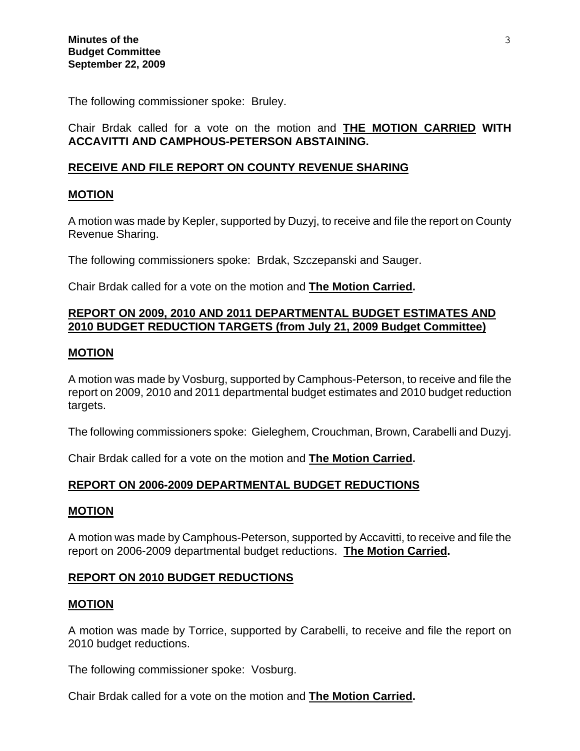The following commissioner spoke: Bruley.

Chair Brdak called for a vote on the motion and **THE MOTION CARRIED WITH ACCAVITTI AND CAMPHOUS-PETERSON ABSTAINING.**

## **RECEIVE AND FILE REPORT ON COUNTY REVENUE SHARING**

## **MOTION**

A motion was made by Kepler, supported by Duzyj, to receive and file the report on County Revenue Sharing.

The following commissioners spoke: Brdak, Szczepanski and Sauger.

Chair Brdak called for a vote on the motion and **The Motion Carried.**

## **REPORT ON 2009, 2010 AND 2011 DEPARTMENTAL BUDGET ESTIMATES AND 2010 BUDGET REDUCTION TARGETS (from July 21, 2009 Budget Committee)**

### **MOTION**

A motion was made by Vosburg, supported by Camphous-Peterson, to receive and file the report on 2009, 2010 and 2011 departmental budget estimates and 2010 budget reduction targets.

The following commissioners spoke: Gieleghem, Crouchman, Brown, Carabelli and Duzyj.

Chair Brdak called for a vote on the motion and **The Motion Carried.** 

## **REPORT ON 2006-2009 DEPARTMENTAL BUDGET REDUCTIONS**

### **MOTION**

A motion was made by Camphous-Peterson, supported by Accavitti, to receive and file the report on 2006-2009 departmental budget reductions. **The Motion Carried.** 

## **REPORT ON 2010 BUDGET REDUCTIONS**

### **MOTION**

A motion was made by Torrice, supported by Carabelli, to receive and file the report on 2010 budget reductions.

The following commissioner spoke: Vosburg.

Chair Brdak called for a vote on the motion and **The Motion Carried.**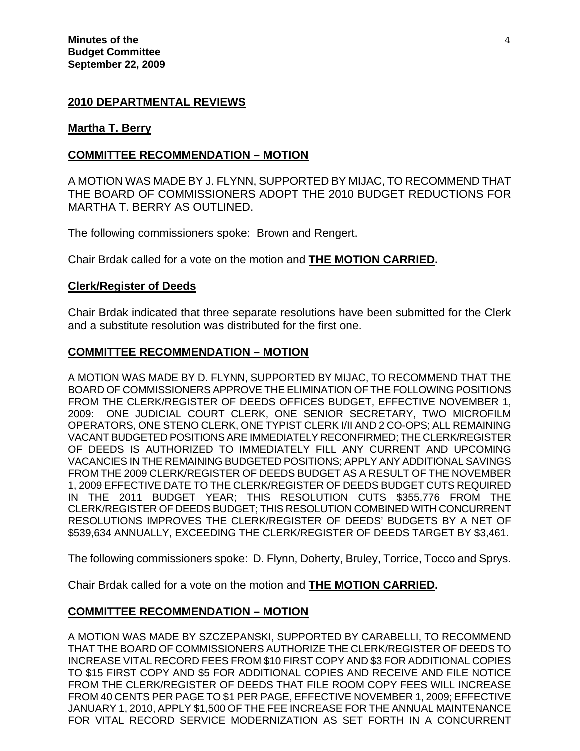### **2010 DEPARTMENTAL REVIEWS**

#### **Martha T. Berry**

#### **COMMITTEE RECOMMENDATION – MOTION**

A MOTION WAS MADE BY J. FLYNN, SUPPORTED BY MIJAC, TO RECOMMEND THAT THE BOARD OF COMMISSIONERS ADOPT THE 2010 BUDGET REDUCTIONS FOR MARTHA T. BERRY AS OUTLINED.

The following commissioners spoke: Brown and Rengert.

Chair Brdak called for a vote on the motion and **THE MOTION CARRIED.**

#### **Clerk/Register of Deeds**

Chair Brdak indicated that three separate resolutions have been submitted for the Clerk and a substitute resolution was distributed for the first one.

#### **COMMITTEE RECOMMENDATION – MOTION**

A MOTION WAS MADE BY D. FLYNN, SUPPORTED BY MIJAC, TO RECOMMEND THAT THE BOARD OF COMMISSIONERS APPROVE THE ELIMINATION OF THE FOLLOWING POSITIONS FROM THE CLERK/REGISTER OF DEEDS OFFICES BUDGET, EFFECTIVE NOVEMBER 1, 2009: ONE JUDICIAL COURT CLERK, ONE SENIOR SECRETARY, TWO MICROFILM OPERATORS, ONE STENO CLERK, ONE TYPIST CLERK I/II AND 2 CO-OPS; ALL REMAINING VACANT BUDGETED POSITIONS ARE IMMEDIATELY RECONFIRMED; THE CLERK/REGISTER OF DEEDS IS AUTHORIZED TO IMMEDIATELY FILL ANY CURRENT AND UPCOMING VACANCIES IN THE REMAINING BUDGETED POSITIONS; APPLY ANY ADDITIONAL SAVINGS FROM THE 2009 CLERK/REGISTER OF DEEDS BUDGET AS A RESULT OF THE NOVEMBER 1, 2009 EFFECTIVE DATE TO THE CLERK/REGISTER OF DEEDS BUDGET CUTS REQUIRED IN THE 2011 BUDGET YEAR; THIS RESOLUTION CUTS \$355,776 FROM THE CLERK/REGISTER OF DEEDS BUDGET; THIS RESOLUTION COMBINED WITH CONCURRENT RESOLUTIONS IMPROVES THE CLERK/REGISTER OF DEEDS' BUDGETS BY A NET OF \$539,634 ANNUALLY, EXCEEDING THE CLERK/REGISTER OF DEEDS TARGET BY \$3,461.

The following commissioners spoke: D. Flynn, Doherty, Bruley, Torrice, Tocco and Sprys.

Chair Brdak called for a vote on the motion and **THE MOTION CARRIED.** 

### **COMMITTEE RECOMMENDATION – MOTION**

A MOTION WAS MADE BY SZCZEPANSKI, SUPPORTED BY CARABELLI, TO RECOMMEND THAT THE BOARD OF COMMISSIONERS AUTHORIZE THE CLERK/REGISTER OF DEEDS TO INCREASE VITAL RECORD FEES FROM \$10 FIRST COPY AND \$3 FOR ADDITIONAL COPIES TO \$15 FIRST COPY AND \$5 FOR ADDITIONAL COPIES AND RECEIVE AND FILE NOTICE FROM THE CLERK/REGISTER OF DEEDS THAT FILE ROOM COPY FEES WILL INCREASE FROM 40 CENTS PER PAGE TO \$1 PER PAGE, EFFECTIVE NOVEMBER 1, 2009; EFFECTIVE JANUARY 1, 2010, APPLY \$1,500 OF THE FEE INCREASE FOR THE ANNUAL MAINTENANCE FOR VITAL RECORD SERVICE MODERNIZATION AS SET FORTH IN A CONCURRENT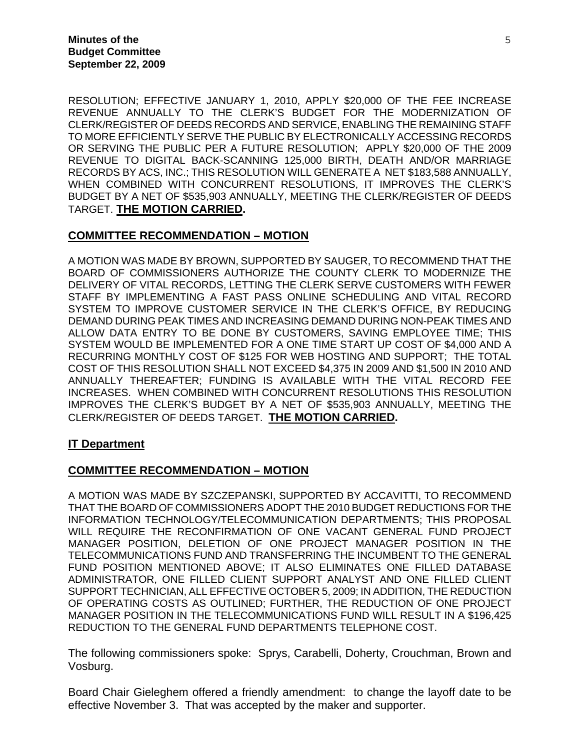RESOLUTION; EFFECTIVE JANUARY 1, 2010, APPLY \$20,000 OF THE FEE INCREASE REVENUE ANNUALLY TO THE CLERK'S BUDGET FOR THE MODERNIZATION OF CLERK/REGISTER OF DEEDS RECORDS AND SERVICE, ENABLING THE REMAINING STAFF TO MORE EFFICIENTLY SERVE THE PUBLIC BY ELECTRONICALLY ACCESSING RECORDS OR SERVING THE PUBLIC PER A FUTURE RESOLUTION; APPLY \$20,000 OF THE 2009 REVENUE TO DIGITAL BACK-SCANNING 125,000 BIRTH, DEATH AND/OR MARRIAGE RECORDS BY ACS, INC.; THIS RESOLUTION WILL GENERATE A NET \$183,588 ANNUALLY, WHEN COMBINED WITH CONCURRENT RESOLUTIONS, IT IMPROVES THE CLERK'S BUDGET BY A NET OF \$535,903 ANNUALLY, MEETING THE CLERK/REGISTER OF DEEDS TARGET. **THE MOTION CARRIED.** 

### **COMMITTEE RECOMMENDATION – MOTION**

A MOTION WAS MADE BY BROWN, SUPPORTED BY SAUGER, TO RECOMMEND THAT THE BOARD OF COMMISSIONERS AUTHORIZE THE COUNTY CLERK TO MODERNIZE THE DELIVERY OF VITAL RECORDS, LETTING THE CLERK SERVE CUSTOMERS WITH FEWER STAFF BY IMPLEMENTING A FAST PASS ONLINE SCHEDULING AND VITAL RECORD SYSTEM TO IMPROVE CUSTOMER SERVICE IN THE CLERK'S OFFICE, BY REDUCING DEMAND DURING PEAK TIMES AND INCREASING DEMAND DURING NON-PEAK TIMES AND ALLOW DATA ENTRY TO BE DONE BY CUSTOMERS, SAVING EMPLOYEE TIME; THIS SYSTEM WOULD BE IMPLEMENTED FOR A ONE TIME START UP COST OF \$4,000 AND A RECURRING MONTHLY COST OF \$125 FOR WEB HOSTING AND SUPPORT; THE TOTAL COST OF THIS RESOLUTION SHALL NOT EXCEED \$4,375 IN 2009 AND \$1,500 IN 2010 AND ANNUALLY THEREAFTER; FUNDING IS AVAILABLE WITH THE VITAL RECORD FEE INCREASES. WHEN COMBINED WITH CONCURRENT RESOLUTIONS THIS RESOLUTION IMPROVES THE CLERK'S BUDGET BY A NET OF \$535,903 ANNUALLY, MEETING THE CLERK/REGISTER OF DEEDS TARGET. **THE MOTION CARRIED.**

## **IT Department**

### **COMMITTEE RECOMMENDATION – MOTION**

A MOTION WAS MADE BY SZCZEPANSKI, SUPPORTED BY ACCAVITTI, TO RECOMMEND THAT THE BOARD OF COMMISSIONERS ADOPT THE 2010 BUDGET REDUCTIONS FOR THE INFORMATION TECHNOLOGY/TELECOMMUNICATION DEPARTMENTS; THIS PROPOSAL WILL REQUIRE THE RECONFIRMATION OF ONE VACANT GENERAL FUND PROJECT MANAGER POSITION, DELETION OF ONE PROJECT MANAGER POSITION IN THE TELECOMMUNICATIONS FUND AND TRANSFERRING THE INCUMBENT TO THE GENERAL FUND POSITION MENTIONED ABOVE; IT ALSO ELIMINATES ONE FILLED DATABASE ADMINISTRATOR, ONE FILLED CLIENT SUPPORT ANALYST AND ONE FILLED CLIENT SUPPORT TECHNICIAN, ALL EFFECTIVE OCTOBER 5, 2009; IN ADDITION, THE REDUCTION OF OPERATING COSTS AS OUTLINED; FURTHER, THE REDUCTION OF ONE PROJECT MANAGER POSITION IN THE TELECOMMUNICATIONS FUND WILL RESULT IN A \$196,425 REDUCTION TO THE GENERAL FUND DEPARTMENTS TELEPHONE COST.

The following commissioners spoke: Sprys, Carabelli, Doherty, Crouchman, Brown and Vosburg.

Board Chair Gieleghem offered a friendly amendment: to change the layoff date to be effective November 3. That was accepted by the maker and supporter.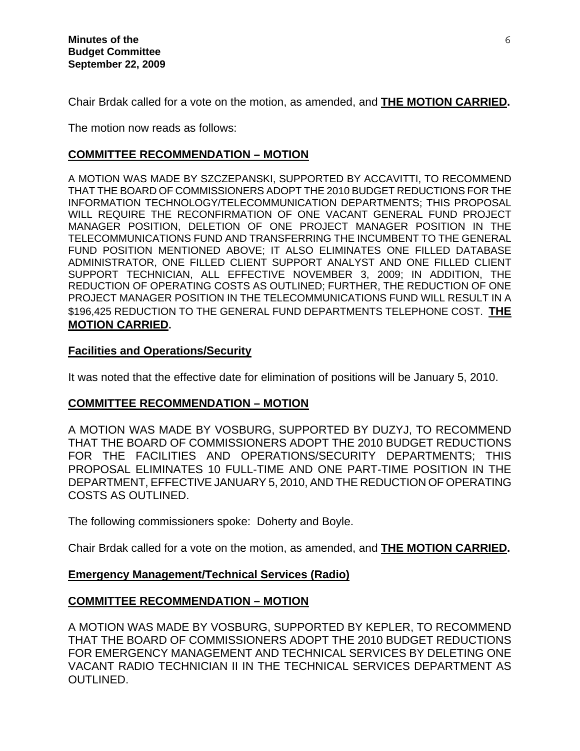Chair Brdak called for a vote on the motion, as amended, and **THE MOTION CARRIED.** 

The motion now reads as follows:

## **COMMITTEE RECOMMENDATION – MOTION**

A MOTION WAS MADE BY SZCZEPANSKI, SUPPORTED BY ACCAVITTI, TO RECOMMEND THAT THE BOARD OF COMMISSIONERS ADOPT THE 2010 BUDGET REDUCTIONS FOR THE INFORMATION TECHNOLOGY/TELECOMMUNICATION DEPARTMENTS; THIS PROPOSAL WILL REQUIRE THE RECONFIRMATION OF ONE VACANT GENERAL FUND PROJECT MANAGER POSITION, DELETION OF ONE PROJECT MANAGER POSITION IN THE TELECOMMUNICATIONS FUND AND TRANSFERRING THE INCUMBENT TO THE GENERAL FUND POSITION MENTIONED ABOVE; IT ALSO ELIMINATES ONE FILLED DATABASE ADMINISTRATOR, ONE FILLED CLIENT SUPPORT ANALYST AND ONE FILLED CLIENT SUPPORT TECHNICIAN, ALL EFFECTIVE NOVEMBER 3, 2009; IN ADDITION, THE REDUCTION OF OPERATING COSTS AS OUTLINED; FURTHER, THE REDUCTION OF ONE PROJECT MANAGER POSITION IN THE TELECOMMUNICATIONS FUND WILL RESULT IN A \$196,425 REDUCTION TO THE GENERAL FUND DEPARTMENTS TELEPHONE COST. **THE MOTION CARRIED.** 

## **Facilities and Operations/Security**

It was noted that the effective date for elimination of positions will be January 5, 2010.

## **COMMITTEE RECOMMENDATION – MOTION**

A MOTION WAS MADE BY VOSBURG, SUPPORTED BY DUZYJ, TO RECOMMEND THAT THE BOARD OF COMMISSIONERS ADOPT THE 2010 BUDGET REDUCTIONS FOR THE FACILITIES AND OPERATIONS/SECURITY DEPARTMENTS; THIS PROPOSAL ELIMINATES 10 FULL-TIME AND ONE PART-TIME POSITION IN THE DEPARTMENT, EFFECTIVE JANUARY 5, 2010, AND THE REDUCTION OF OPERATING COSTS AS OUTLINED.

The following commissioners spoke: Doherty and Boyle.

Chair Brdak called for a vote on the motion, as amended, and **THE MOTION CARRIED.** 

## **Emergency Management/Technical Services (Radio)**

# **COMMITTEE RECOMMENDATION – MOTION**

A MOTION WAS MADE BY VOSBURG, SUPPORTED BY KEPLER, TO RECOMMEND THAT THE BOARD OF COMMISSIONERS ADOPT THE 2010 BUDGET REDUCTIONS FOR EMERGENCY MANAGEMENT AND TECHNICAL SERVICES BY DELETING ONE VACANT RADIO TECHNICIAN II IN THE TECHNICAL SERVICES DEPARTMENT AS OUTLINED.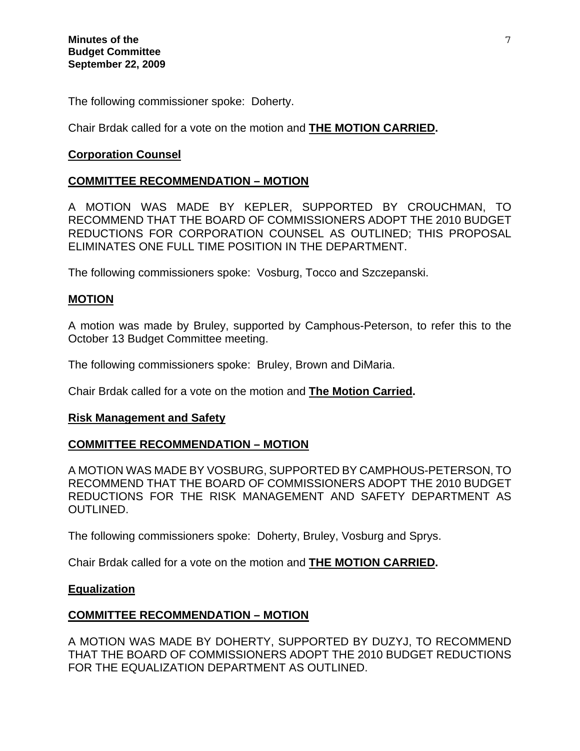The following commissioner spoke: Doherty.

Chair Brdak called for a vote on the motion and **THE MOTION CARRIED.** 

## **Corporation Counsel**

## **COMMITTEE RECOMMENDATION – MOTION**

A MOTION WAS MADE BY KEPLER, SUPPORTED BY CROUCHMAN, TO RECOMMEND THAT THE BOARD OF COMMISSIONERS ADOPT THE 2010 BUDGET REDUCTIONS FOR CORPORATION COUNSEL AS OUTLINED; THIS PROPOSAL ELIMINATES ONE FULL TIME POSITION IN THE DEPARTMENT.

The following commissioners spoke: Vosburg, Tocco and Szczepanski.

## **MOTION**

A motion was made by Bruley, supported by Camphous-Peterson, to refer this to the October 13 Budget Committee meeting.

The following commissioners spoke: Bruley, Brown and DiMaria.

Chair Brdak called for a vote on the motion and **The Motion Carried.** 

## **Risk Management and Safety**

## **COMMITTEE RECOMMENDATION – MOTION**

A MOTION WAS MADE BY VOSBURG, SUPPORTED BY CAMPHOUS-PETERSON, TO RECOMMEND THAT THE BOARD OF COMMISSIONERS ADOPT THE 2010 BUDGET REDUCTIONS FOR THE RISK MANAGEMENT AND SAFETY DEPARTMENT AS OUTLINED.

The following commissioners spoke: Doherty, Bruley, Vosburg and Sprys.

Chair Brdak called for a vote on the motion and **THE MOTION CARRIED.** 

## **Equalization**

## **COMMITTEE RECOMMENDATION – MOTION**

A MOTION WAS MADE BY DOHERTY, SUPPORTED BY DUZYJ, TO RECOMMEND THAT THE BOARD OF COMMISSIONERS ADOPT THE 2010 BUDGET REDUCTIONS FOR THE EQUALIZATION DEPARTMENT AS OUTLINED.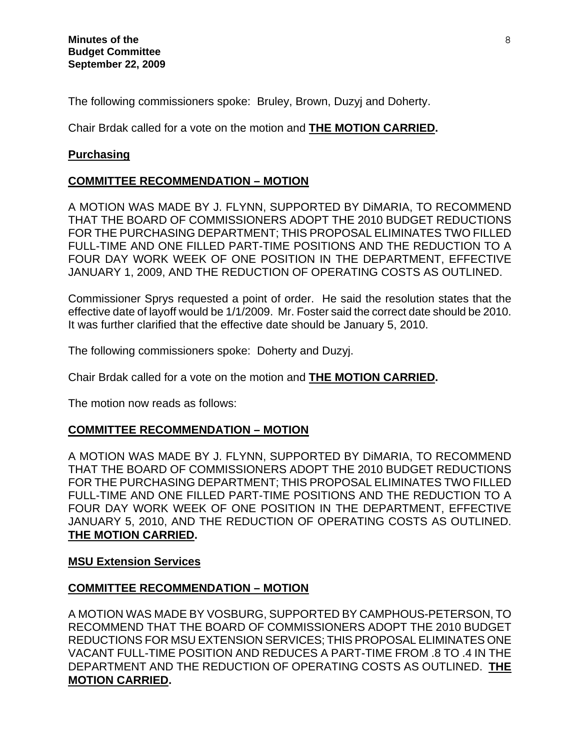The following commissioners spoke: Bruley, Brown, Duzyj and Doherty.

Chair Brdak called for a vote on the motion and **THE MOTION CARRIED.** 

## **Purchasing**

## **COMMITTEE RECOMMENDATION – MOTION**

A MOTION WAS MADE BY J. FLYNN, SUPPORTED BY DiMARIA, TO RECOMMEND THAT THE BOARD OF COMMISSIONERS ADOPT THE 2010 BUDGET REDUCTIONS FOR THE PURCHASING DEPARTMENT; THIS PROPOSAL ELIMINATES TWO FILLED FULL-TIME AND ONE FILLED PART-TIME POSITIONS AND THE REDUCTION TO A FOUR DAY WORK WEEK OF ONE POSITION IN THE DEPARTMENT, EFFECTIVE JANUARY 1, 2009, AND THE REDUCTION OF OPERATING COSTS AS OUTLINED.

Commissioner Sprys requested a point of order. He said the resolution states that the effective date of layoff would be 1/1/2009. Mr. Foster said the correct date should be 2010. It was further clarified that the effective date should be January 5, 2010.

The following commissioners spoke: Doherty and Duzyj.

Chair Brdak called for a vote on the motion and **THE MOTION CARRIED.** 

The motion now reads as follows:

# **COMMITTEE RECOMMENDATION – MOTION**

A MOTION WAS MADE BY J. FLYNN, SUPPORTED BY DiMARIA, TO RECOMMEND THAT THE BOARD OF COMMISSIONERS ADOPT THE 2010 BUDGET REDUCTIONS FOR THE PURCHASING DEPARTMENT; THIS PROPOSAL ELIMINATES TWO FILLED FULL-TIME AND ONE FILLED PART-TIME POSITIONS AND THE REDUCTION TO A FOUR DAY WORK WEEK OF ONE POSITION IN THE DEPARTMENT, EFFECTIVE JANUARY 5, 2010, AND THE REDUCTION OF OPERATING COSTS AS OUTLINED. **THE MOTION CARRIED.** 

## **MSU Extension Services**

## **COMMITTEE RECOMMENDATION – MOTION**

A MOTION WAS MADE BY VOSBURG, SUPPORTED BY CAMPHOUS-PETERSON, TO RECOMMEND THAT THE BOARD OF COMMISSIONERS ADOPT THE 2010 BUDGET REDUCTIONS FOR MSU EXTENSION SERVICES; THIS PROPOSAL ELIMINATES ONE VACANT FULL-TIME POSITION AND REDUCES A PART-TIME FROM .8 TO .4 IN THE DEPARTMENT AND THE REDUCTION OF OPERATING COSTS AS OUTLINED. **THE MOTION CARRIED.**